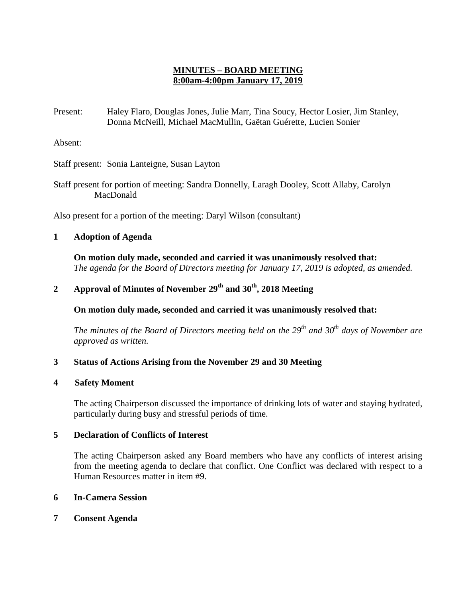# **MINUTES – BOARD MEETING 8:00am-4:00pm January 17, 2019**

Present: Haley Flaro, Douglas Jones, Julie Marr, Tina Soucy, Hector Losier, Jim Stanley, Donna McNeill, Michael MacMullin, Gaëtan Guérette, Lucien Sonier

Absent:

Staff present: Sonia Lanteigne, Susan Layton

Staff present for portion of meeting: Sandra Donnelly, Laragh Dooley, Scott Allaby, Carolyn MacDonald

Also present for a portion of the meeting: Daryl Wilson (consultant)

## **1 Adoption of Agenda**

**On motion duly made, seconded and carried it was unanimously resolved that:** *The agenda for the Board of Directors meeting for January 17, 2019 is adopted, as amended.*

# **2 Approval of Minutes of November 29th and 30th, 2018 Meeting**

**On motion duly made, seconded and carried it was unanimously resolved that:**

*The minutes of the Board of Directors meeting held on the 29th and 30th days of November are approved as written.*

## **3 Status of Actions Arising from the November 29 and 30 Meeting**

#### **4 Safety Moment**

The acting Chairperson discussed the importance of drinking lots of water and staying hydrated, particularly during busy and stressful periods of time.

## **5 Declaration of Conflicts of Interest**

The acting Chairperson asked any Board members who have any conflicts of interest arising from the meeting agenda to declare that conflict. One Conflict was declared with respect to a Human Resources matter in item #9.

#### **6 In-Camera Session**

**7 Consent Agenda**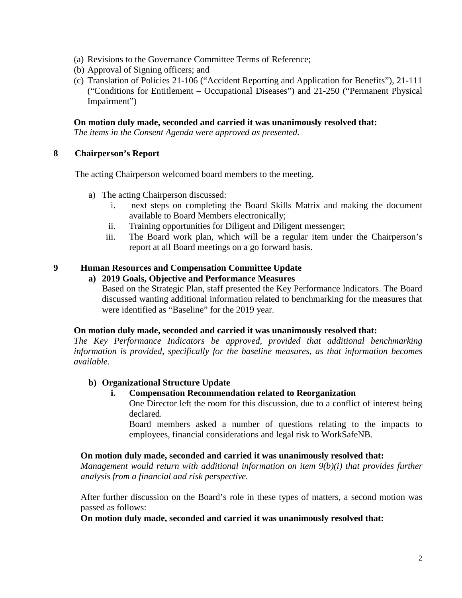- (a) Revisions to the Governance Committee Terms of Reference;
- (b) Approval of Signing officers; and
- (c) Translation of Policies 21-106 ("Accident Reporting and Application for Benefits"), 21-111 ("Conditions for Entitlement – Occupational Diseases") and 21-250 ("Permanent Physical Impairment")

#### **On motion duly made, seconded and carried it was unanimously resolved that:**

*The items in the Consent Agenda were approved as presented.* 

#### **8 Chairperson's Report**

The acting Chairperson welcomed board members to the meeting.

- a) The acting Chairperson discussed:
	- i. next steps on completing the Board Skills Matrix and making the document available to Board Members electronically;
	- ii. Training opportunities for Diligent and Diligent messenger;
	- iii. The Board work plan, which will be a regular item under the Chairperson's report at all Board meetings on a go forward basis.

## **9 Human Resources and Compensation Committee Update**

#### **a) 2019 Goals, Objective and Performance Measures**

Based on the Strategic Plan, staff presented the Key Performance Indicators. The Board discussed wanting additional information related to benchmarking for the measures that were identified as "Baseline" for the 2019 year.

#### **On motion duly made, seconded and carried it was unanimously resolved that:**

*The Key Performance Indicators be approved, provided that additional benchmarking information is provided, specifically for the baseline measures, as that information becomes available.* 

## **b) Organizational Structure Update**

#### **i. Compensation Recommendation related to Reorganization**

One Director left the room for this discussion, due to a conflict of interest being declared.

Board members asked a number of questions relating to the impacts to employees, financial considerations and legal risk to WorkSafeNB.

#### **On motion duly made, seconded and carried it was unanimously resolved that:**

*Management would return with additional information on item 9(b)(i) that provides further analysis from a financial and risk perspective.* 

After further discussion on the Board's role in these types of matters, a second motion was passed as follows:

**On motion duly made, seconded and carried it was unanimously resolved that:**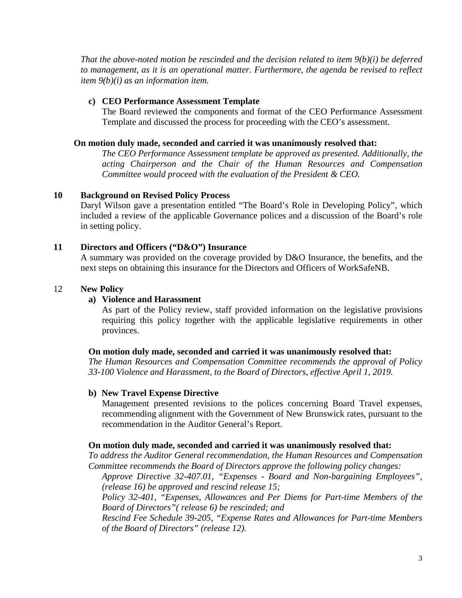*That the above-noted motion be rescinded and the decision related to item 9(b)(i) be deferred to management, as it is an operational matter. Furthermore, the agenda be revised to reflect item 9(b)(i) as an information item.* 

## **c) CEO Performance Assessment Template**

The Board reviewed the components and format of the CEO Performance Assessment Template and discussed the process for proceeding with the CEO's assessment.

## **On motion duly made, seconded and carried it was unanimously resolved that:**

*The CEO Performance Assessment template be approved as presented. Additionally, the acting Chairperson and the Chair of the Human Resources and Compensation Committee would proceed with the evaluation of the President & CEO.* 

# **10 Background on Revised Policy Process**

Daryl Wilson gave a presentation entitled "The Board's Role in Developing Policy", which included a review of the applicable Governance polices and a discussion of the Board's role in setting policy.

## **11 Directors and Officers ("D&O") Insurance**

A summary was provided on the coverage provided by D&O Insurance, the benefits, and the next steps on obtaining this insurance for the Directors and Officers of WorkSafeNB.

## 12 **New Policy**

## **a) Violence and Harassment**

As part of the Policy review, staff provided information on the legislative provisions requiring this policy together with the applicable legislative requirements in other provinces.

## **On motion duly made, seconded and carried it was unanimously resolved that:**

*The Human Resources and Compensation Committee recommends the approval of Policy 33-100 Violence and Harassment, to the Board of Directors, effective April 1, 2019.* 

## **b) New Travel Expense Directive**

Management presented revisions to the polices concerning Board Travel expenses, recommending alignment with the Government of New Brunswick rates, pursuant to the recommendation in the Auditor General's Report.

## **On motion duly made, seconded and carried it was unanimously resolved that:**

*To address the Auditor General recommendation, the Human Resources and Compensation Committee recommends the Board of Directors approve the following policy changes:*

*Approve Directive 32-407.01, "Expenses - Board and Non-bargaining Employees", (release 16) be approved and rescind release 15;* 

*Policy 32-401, "Expenses, Allowances and Per Diems for Part-time Members of the Board of Directors"( release 6) be rescinded; and*

*Rescind Fee Schedule 39-205, "Expense Rates and Allowances for Part-time Members of the Board of Directors" (release 12).*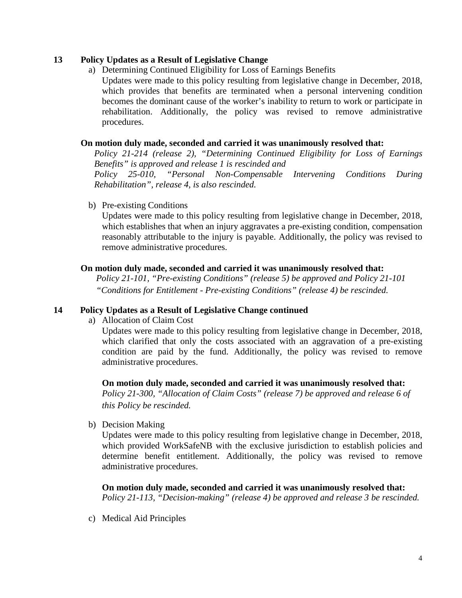## **13 Policy Updates as a Result of Legislative Change**

a) Determining Continued Eligibility for Loss of Earnings Benefits

Updates were made to this policy resulting from legislative change in December, 2018, which provides that benefits are terminated when a personal intervening condition becomes the dominant cause of the worker's inability to return to work or participate in rehabilitation. Additionally, the policy was revised to remove administrative procedures.

## **On motion duly made, seconded and carried it was unanimously resolved that:**

*Policy 21-214 (release 2), "Determining Continued Eligibility for Loss of Earnings Benefits" is approved and release 1 is rescinded and Policy 25-010, "Personal Non-Compensable Intervening Conditions During Rehabilitation", release 4, is also rescinded.*

b) Pre-existing Conditions

Updates were made to this policy resulting from legislative change in December, 2018, which establishes that when an injury aggravates a pre-existing condition, compensation reasonably attributable to the injury is payable. Additionally, the policy was revised to remove administrative procedures.

# **On motion duly made, seconded and carried it was unanimously resolved that:**

*Policy 21-101, "Pre-existing Conditions" (release 5) be approved and Policy 21-101 "Conditions for Entitlement - Pre-existing Conditions" (release 4) be rescinded.*

## **14 Policy Updates as a Result of Legislative Change continued**

a) Allocation of Claim Cost

Updates were made to this policy resulting from legislative change in December, 2018, which clarified that only the costs associated with an aggravation of a pre-existing condition are paid by the fund. Additionally, the policy was revised to remove administrative procedures.

**On motion duly made, seconded and carried it was unanimously resolved that:** *Policy 21-300, "Allocation of Claim Costs" (release 7) be approved and release 6 of this Policy be rescinded.* 

b) Decision Making

Updates were made to this policy resulting from legislative change in December, 2018, which provided WorkSafeNB with the exclusive jurisdiction to establish policies and determine benefit entitlement. Additionally, the policy was revised to remove administrative procedures.

**On motion duly made, seconded and carried it was unanimously resolved that:** *Policy 21-113, "Decision-making" (release 4) be approved and release 3 be rescinded.* 

c) Medical Aid Principles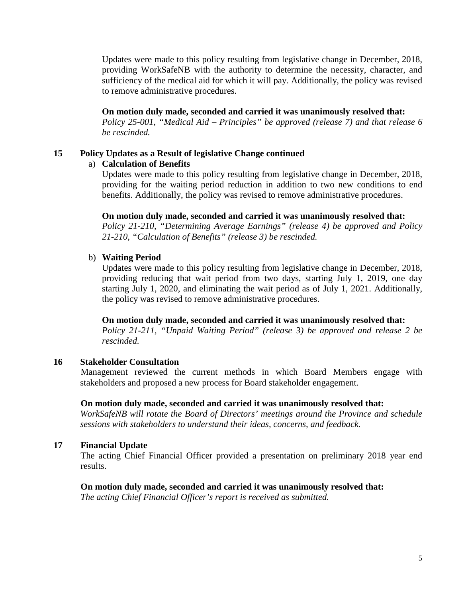Updates were made to this policy resulting from legislative change in December, 2018, providing WorkSafeNB with the authority to determine the necessity, character, and sufficiency of the medical aid for which it will pay. Additionally, the policy was revised to remove administrative procedures.

## **On motion duly made, seconded and carried it was unanimously resolved that:**

*Policy 25-001, "Medical Aid – Principles" be approved (release 7) and that release 6 be rescinded.*

#### **15 Policy Updates as a Result of legislative Change continued**

#### a) **Calculation of Benefits**

Updates were made to this policy resulting from legislative change in December, 2018, providing for the waiting period reduction in addition to two new conditions to end benefits. Additionally, the policy was revised to remove administrative procedures.

# **On motion duly made, seconded and carried it was unanimously resolved that:**

*Policy 21-210, "Determining Average Earnings" (release 4) be approved and Policy 21-210, "Calculation of Benefits" (release 3) be rescinded.* 

#### b) **Waiting Period**

Updates were made to this policy resulting from legislative change in December, 2018, providing reducing that wait period from two days, starting July 1, 2019, one day starting July 1, 2020, and eliminating the wait period as of July 1, 2021. Additionally, the policy was revised to remove administrative procedures.

**On motion duly made, seconded and carried it was unanimously resolved that:**

*Policy 21-211, "Unpaid Waiting Period" (release 3) be approved and release 2 be rescinded.* 

#### **16 Stakeholder Consultation**

Management reviewed the current methods in which Board Members engage with stakeholders and proposed a new process for Board stakeholder engagement.

#### **On motion duly made, seconded and carried it was unanimously resolved that:**

*WorkSafeNB will rotate the Board of Directors' meetings around the Province and schedule sessions with stakeholders to understand their ideas, concerns, and feedback.* 

#### **17 Financial Update**

The acting Chief Financial Officer provided a presentation on preliminary 2018 year end results.

#### **On motion duly made, seconded and carried it was unanimously resolved that:**

*The acting Chief Financial Officer's report is received as submitted.*